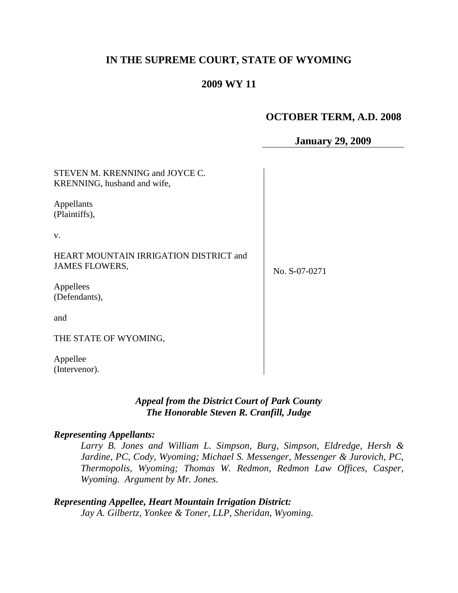# **IN THE SUPREME COURT, STATE OF WYOMING**

# **2009 WY 11**

# **OCTOBER TERM, A.D. 2008**

**January 29, 2009**

| STEVEN M. KRENNING and JOYCE C.<br>KRENNING, husband and wife,  |               |
|-----------------------------------------------------------------|---------------|
| Appellants<br>(Plaintiffs),                                     |               |
| V.                                                              |               |
| HEART MOUNTAIN IRRIGATION DISTRICT and<br><b>JAMES FLOWERS,</b> | No. S-07-0271 |
| Appellees<br>(Defendants),                                      |               |
| and                                                             |               |
| THE STATE OF WYOMING,                                           |               |
| Appellee<br>(Intervenor).                                       |               |

### *Appeal from the District Court of Park County The Honorable Steven R. Cranfill, Judge*

#### *Representing Appellants:*

*Larry B. Jones and William L. Simpson, Burg, Simpson, Eldredge, Hersh & Jardine, PC, Cody, Wyoming; Michael S. Messenger, Messenger & Jurovich, PC, Thermopolis, Wyoming; Thomas W. Redmon, Redmon Law Offices, Casper, Wyoming. Argument by Mr. Jones.*

*Representing Appellee, Heart Mountain Irrigation District: Jay A. Gilbertz, Yonkee & Toner, LLP, Sheridan, Wyoming.*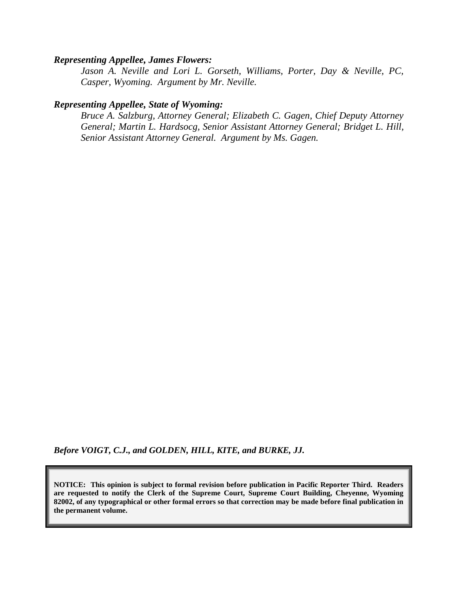#### *Representing Appellee, James Flowers:*

*Jason A. Neville and Lori L. Gorseth, Williams, Porter, Day & Neville, PC, Casper, Wyoming. Argument by Mr. Neville.*

### *Representing Appellee, State of Wyoming:*

*Bruce A. Salzburg, Attorney General; Elizabeth C. Gagen, Chief Deputy Attorney General; Martin L. Hardsocg, Senior Assistant Attorney General; Bridget L. Hill, Senior Assistant Attorney General. Argument by Ms. Gagen.*

*Before VOIGT, C.J., and GOLDEN, HILL, KITE, and BURKE, JJ.*

**NOTICE: This opinion is subject to formal revision before publication in Pacific Reporter Third. Readers are requested to notify the Clerk of the Supreme Court, Supreme Court Building, Cheyenne, Wyoming 82002, of any typographical or other formal errors so that correction may be made before final publication in the permanent volume.**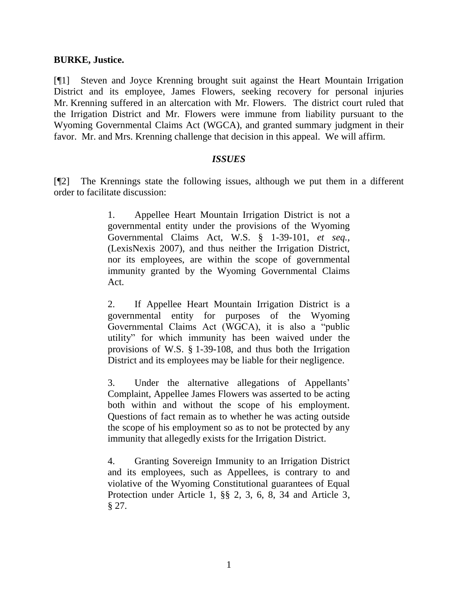#### **BURKE, Justice.**

[¶1] Steven and Joyce Krenning brought suit against the Heart Mountain Irrigation District and its employee, James Flowers, seeking recovery for personal injuries Mr. Krenning suffered in an altercation with Mr. Flowers. The district court ruled that the Irrigation District and Mr. Flowers were immune from liability pursuant to the Wyoming Governmental Claims Act (WGCA), and granted summary judgment in their favor. Mr. and Mrs. Krenning challenge that decision in this appeal. We will affirm.

#### *ISSUES*

[¶2] The Krennings state the following issues, although we put them in a different order to facilitate discussion:

> 1. Appellee Heart Mountain Irrigation District is not a governmental entity under the provisions of the Wyoming Governmental Claims Act, W.S. § 1-39-101, *et seq.*, (LexisNexis 2007), and thus neither the Irrigation District, nor its employees, are within the scope of governmental immunity granted by the Wyoming Governmental Claims Act.

> 2. If Appellee Heart Mountain Irrigation District is a governmental entity for purposes of the Wyoming Governmental Claims Act (WGCA), it is also a "public utility" for which immunity has been waived under the provisions of W.S. § 1-39-108, and thus both the Irrigation District and its employees may be liable for their negligence.

> 3. Under the alternative allegations of Appellants" Complaint, Appellee James Flowers was asserted to be acting both within and without the scope of his employment. Questions of fact remain as to whether he was acting outside the scope of his employment so as to not be protected by any immunity that allegedly exists for the Irrigation District.

> 4. Granting Sovereign Immunity to an Irrigation District and its employees, such as Appellees, is contrary to and violative of the Wyoming Constitutional guarantees of Equal Protection under Article 1, §§ 2, 3, 6, 8, 34 and Article 3, § 27.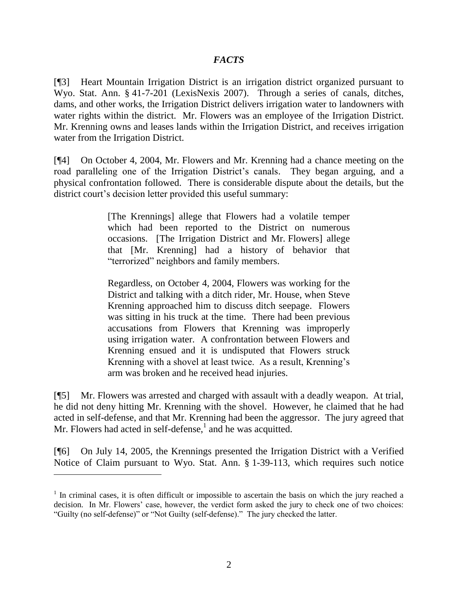### *FACTS*

[¶3] Heart Mountain Irrigation District is an irrigation district organized pursuant to Wyo. Stat. Ann. § 41-7-201 (LexisNexis 2007). Through a series of canals, ditches, dams, and other works, the Irrigation District delivers irrigation water to landowners with water rights within the district. Mr. Flowers was an employee of the Irrigation District. Mr. Krenning owns and leases lands within the Irrigation District, and receives irrigation water from the Irrigation District.

[¶4] On October 4, 2004, Mr. Flowers and Mr. Krenning had a chance meeting on the road paralleling one of the Irrigation District's canals. They began arguing, and a physical confrontation followed. There is considerable dispute about the details, but the district court's decision letter provided this useful summary:

> [The Krennings] allege that Flowers had a volatile temper which had been reported to the District on numerous occasions. [The Irrigation District and Mr. Flowers] allege that [Mr. Krenning] had a history of behavior that "terrorized" neighbors and family members.

> Regardless, on October 4, 2004, Flowers was working for the District and talking with a ditch rider, Mr. House, when Steve Krenning approached him to discuss ditch seepage. Flowers was sitting in his truck at the time. There had been previous accusations from Flowers that Krenning was improperly using irrigation water. A confrontation between Flowers and Krenning ensued and it is undisputed that Flowers struck Krenning with a shovel at least twice. As a result, Krenning"s arm was broken and he received head injuries.

[¶5] Mr. Flowers was arrested and charged with assault with a deadly weapon. At trial, he did not deny hitting Mr. Krenning with the shovel. However, he claimed that he had acted in self-defense, and that Mr. Krenning had been the aggressor. The jury agreed that Mr. Flowers had acted in self-defense, $\frac{1}{2}$  and he was acquitted.

[¶6] On July 14, 2005, the Krennings presented the Irrigation District with a Verified Notice of Claim pursuant to Wyo. Stat. Ann. § 1-39-113, which requires such notice

 $\overline{a}$ 

 $1$  In criminal cases, it is often difficult or impossible to ascertain the basis on which the jury reached a decision. In Mr. Flowers' case, however, the verdict form asked the jury to check one of two choices: "Guilty (no self-defense)" or "Not Guilty (self-defense)." The jury checked the latter.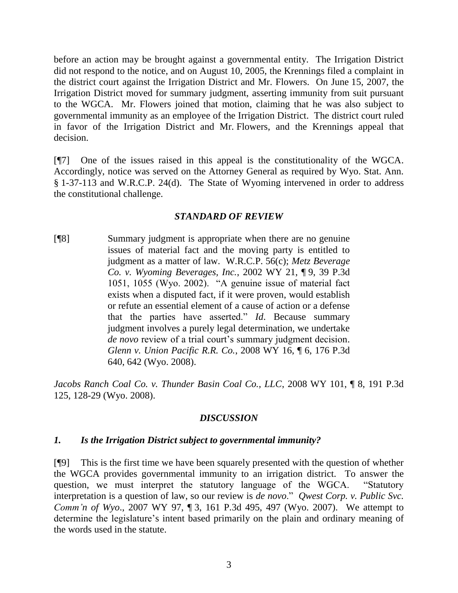before an action may be brought against a governmental entity. The Irrigation District did not respond to the notice, and on August 10, 2005, the Krennings filed a complaint in the district court against the Irrigation District and Mr. Flowers. On June 15, 2007, the Irrigation District moved for summary judgment, asserting immunity from suit pursuant to the WGCA. Mr. Flowers joined that motion, claiming that he was also subject to governmental immunity as an employee of the Irrigation District. The district court ruled in favor of the Irrigation District and Mr. Flowers, and the Krennings appeal that decision.

[¶7] One of the issues raised in this appeal is the constitutionality of the WGCA. Accordingly, notice was served on the Attorney General as required by Wyo. Stat. Ann. § 1-37-113 and W.R.C.P. 24(d). The State of Wyoming intervened in order to address the constitutional challenge.

### *STANDARD OF REVIEW*

[¶8] Summary judgment is appropriate when there are no genuine issues of material fact and the moving party is entitled to judgment as a matter of law. W.R.C.P. 56(c); *Metz Beverage Co. v. Wyoming Beverages, Inc.*, 2002 WY 21, ¶ 9, 39 P.3d 1051, 1055 (Wyo. 2002). "A genuine issue of material fact exists when a disputed fact, if it were proven, would establish or refute an essential element of a cause of action or a defense that the parties have asserted." *Id*. Because summary judgment involves a purely legal determination, we undertake *de novo* review of a trial court's summary judgment decision. *Glenn v. Union Pacific R.R. Co.*, 2008 WY 16, ¶ 6, 176 P.3d 640, 642 (Wyo. 2008).

*Jacobs Ranch Coal Co. v. Thunder Basin Coal Co., LLC*, 2008 WY 101, ¶ 8, 191 P.3d 125, 128-29 (Wyo. 2008).

### *DISCUSSION*

#### *1. Is the Irrigation District subject to governmental immunity?*

[¶9] This is the first time we have been squarely presented with the question of whether the WGCA provides governmental immunity to an irrigation district. To answer the question, we must interpret the statutory language of the WGCA. "Statutory interpretation is a question of law, so our review is *de novo*." *Qwest Corp. v. Public Svc. Comm'n of Wyo*., 2007 WY 97, ¶ 3, 161 P.3d 495, 497 (Wyo. 2007). We attempt to determine the legislature's intent based primarily on the plain and ordinary meaning of the words used in the statute.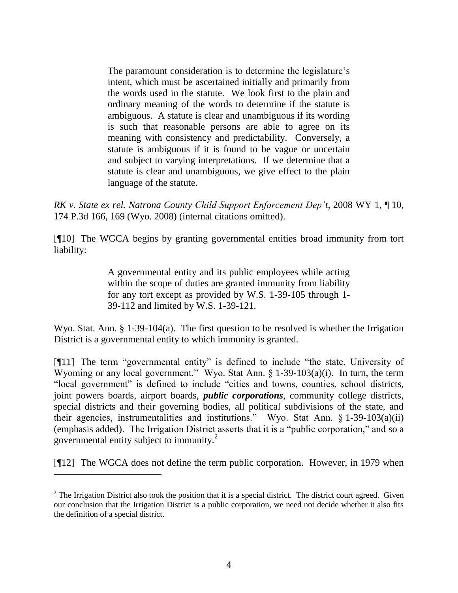The paramount consideration is to determine the legislature's intent, which must be ascertained initially and primarily from the words used in the statute. We look first to the plain and ordinary meaning of the words to determine if the statute is ambiguous. A statute is clear and unambiguous if its wording is such that reasonable persons are able to agree on its meaning with consistency and predictability. Conversely, a statute is ambiguous if it is found to be vague or uncertain and subject to varying interpretations. If we determine that a statute is clear and unambiguous, we give effect to the plain language of the statute.

*RK v. State ex rel. Natrona County Child Support Enforcement Dep't*, 2008 WY 1, ¶ 10, 174 P.3d 166, 169 (Wyo. 2008) (internal citations omitted).

[¶10] The WGCA begins by granting governmental entities broad immunity from tort liability:

> A governmental entity and its public employees while acting within the scope of duties are granted immunity from liability for any tort except as provided by W.S. 1-39-105 through 1- 39-112 and limited by W.S. 1-39-121.

Wyo. Stat. Ann. § 1-39-104(a). The first question to be resolved is whether the Irrigation District is a governmental entity to which immunity is granted.

[¶11] The term "governmental entity" is defined to include "the state, University of Wyoming or any local government." Wyo. Stat Ann. § 1-39-103(a)(i). In turn, the term "local government" is defined to include "cities and towns, counties, school districts, joint powers boards, airport boards, *public corporations*, community college districts, special districts and their governing bodies, all political subdivisions of the state, and their agencies, instrumentalities and institutions." Wyo. Stat Ann. § 1-39-103(a)(ii) (emphasis added). The Irrigation District asserts that it is a "public corporation," and so a governmental entity subject to immunity.<sup>2</sup>

[¶12] The WGCA does not define the term public corporation. However, in 1979 when

 $\overline{a}$ 

 $2$  The Irrigation District also took the position that it is a special district. The district court agreed. Given our conclusion that the Irrigation District is a public corporation, we need not decide whether it also fits the definition of a special district.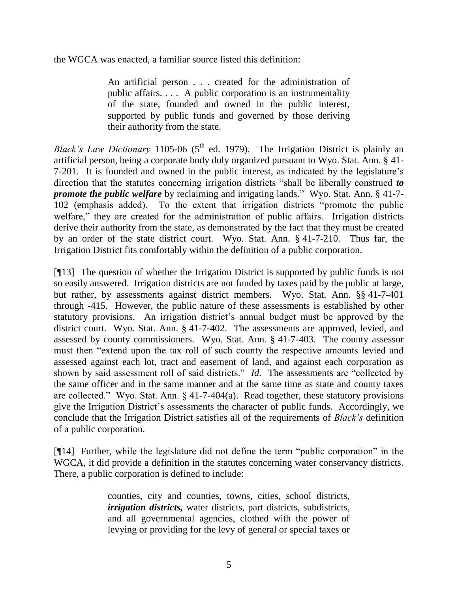the WGCA was enacted, a familiar source listed this definition:

An artificial person . . . created for the administration of public affairs. . . . A public corporation is an instrumentality of the state, founded and owned in the public interest, supported by public funds and governed by those deriving their authority from the state.

*Black's Law Dictionary* 1105-06 ( $5<sup>th</sup>$  ed. 1979). The Irrigation District is plainly an artificial person, being a corporate body duly organized pursuant to Wyo. Stat. Ann. § 41- 7-201. It is founded and owned in the public interest, as indicated by the legislature"s direction that the statutes concerning irrigation districts "shall be liberally construed *to promote the public welfare* by reclaiming and irrigating lands." Wyo. Stat. Ann. § 41-7-102 (emphasis added). To the extent that irrigation districts "promote the public welfare," they are created for the administration of public affairs. Irrigation districts derive their authority from the state, as demonstrated by the fact that they must be created by an order of the state district court. Wyo. Stat. Ann. § 41-7-210. Thus far, the Irrigation District fits comfortably within the definition of a public corporation.

[¶13] The question of whether the Irrigation District is supported by public funds is not so easily answered. Irrigation districts are not funded by taxes paid by the public at large, but rather, by assessments against district members. Wyo. Stat. Ann. §§ 41-7-401 through -415. However, the public nature of these assessments is established by other statutory provisions. An irrigation district's annual budget must be approved by the district court. Wyo. Stat. Ann. § 41-7-402. The assessments are approved, levied, and assessed by county commissioners. Wyo. Stat. Ann. § 41-7-403. The county assessor must then "extend upon the tax roll of such county the respective amounts levied and assessed against each lot, tract and easement of land, and against each corporation as shown by said assessment roll of said districts." *Id*. The assessments are "collected by the same officer and in the same manner and at the same time as state and county taxes are collected." Wyo. Stat. Ann. § 41-7-404(a). Read together, these statutory provisions give the Irrigation District's assessments the character of public funds. Accordingly, we conclude that the Irrigation District satisfies all of the requirements of *Black's* definition of a public corporation.

[¶14] Further, while the legislature did not define the term "public corporation" in the WGCA, it did provide a definition in the statutes concerning water conservancy districts. There, a public corporation is defined to include:

> counties, city and counties, towns, cities, school districts, *irrigation districts,* water districts, part districts, subdistricts, and all governmental agencies, clothed with the power of levying or providing for the levy of general or special taxes or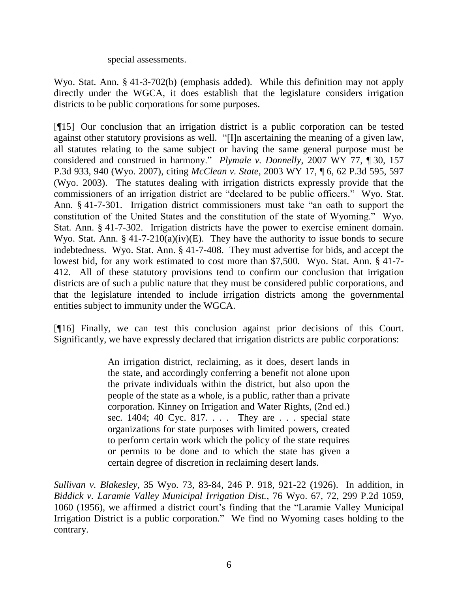special assessments.

Wyo. Stat. Ann. § 41-3-702(b) (emphasis added). While this definition may not apply directly under the WGCA, it does establish that the legislature considers irrigation districts to be public corporations for some purposes.

[¶15] Our conclusion that an irrigation district is a public corporation can be tested against other statutory provisions as well. "[I]n ascertaining the meaning of a given law, all statutes relating to the same subject or having the same general purpose must be considered and construed in harmony." *Plymale v. Donnelly*, 2007 WY 77, ¶ 30, 157 P.3d 933, 940 (Wyo. 2007), citing *McClean v. State*, 2003 WY 17, ¶ 6, 62 P.3d 595, 597 (Wyo. 2003). The statutes dealing with irrigation districts expressly provide that the commissioners of an irrigation district are "declared to be public officers." Wyo. Stat. Ann. § 41-7-301. Irrigation district commissioners must take "an oath to support the constitution of the United States and the constitution of the state of Wyoming." Wyo. Stat. Ann. § 41-7-302. Irrigation districts have the power to exercise eminent domain. Wyo. Stat. Ann. § 41-7-210(a)(iv)(E). They have the authority to issue bonds to secure indebtedness. Wyo. Stat. Ann. § 41-7-408. They must advertise for bids, and accept the lowest bid, for any work estimated to cost more than \$7,500. Wyo. Stat. Ann. § 41-7- 412. All of these statutory provisions tend to confirm our conclusion that irrigation districts are of such a public nature that they must be considered public corporations, and that the legislature intended to include irrigation districts among the governmental entities subject to immunity under the WGCA.

[¶16] Finally, we can test this conclusion against prior decisions of this Court. Significantly, we have expressly declared that irrigation districts are public corporations:

> An irrigation district, reclaiming, as it does, desert lands in the state, and accordingly conferring a benefit not alone upon the private individuals within the district, but also upon the people of the state as a whole, is a public, rather than a private corporation. Kinney on Irrigation and Water Rights, (2nd ed.) sec. 1404; 40 Cyc. 817. . . . They are . . . special state organizations for state purposes with limited powers, created to perform certain work which the policy of the state requires or permits to be done and to which the state has given a certain degree of discretion in reclaiming desert lands.

*Sullivan v. Blakesley*, 35 Wyo. 73, 83-84, 246 P. 918, 921-22 (1926). In addition, in *Biddick v. Laramie Valley Municipal Irrigation Dist.*, 76 Wyo. 67, 72, 299 P.2d 1059, 1060 (1956), we affirmed a district court"s finding that the "Laramie Valley Municipal Irrigation District is a public corporation." We find no Wyoming cases holding to the contrary.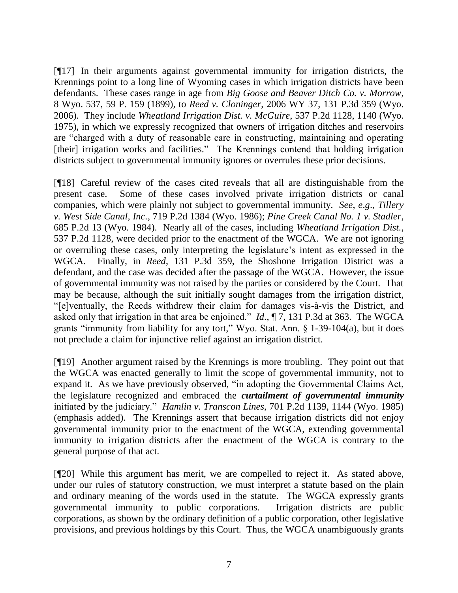[¶17] In their arguments against governmental immunity for irrigation districts, the Krennings point to a long line of Wyoming cases in which irrigation districts have been defendants. These cases range in age from *Big Goose and Beaver Ditch Co. v. Morrow*, 8 Wyo. 537, 59 P. 159 (1899), to *Reed v. Cloninger*, 2006 WY 37, 131 P.3d 359 (Wyo. 2006). They include *Wheatland Irrigation Dist. v. McGuire*, 537 P.2d 1128, 1140 (Wyo. 1975), in which we expressly recognized that owners of irrigation ditches and reservoirs are "charged with a duty of reasonable care in constructing, maintaining and operating [their] irrigation works and facilities." The Krennings contend that holding irrigation districts subject to governmental immunity ignores or overrules these prior decisions.

[¶18] Careful review of the cases cited reveals that all are distinguishable from the present case. Some of these cases involved private irrigation districts or canal companies, which were plainly not subject to governmental immunity. *See*, *e*.*g*., *Tillery v. West Side Canal, Inc.*, 719 P.2d 1384 (Wyo. 1986); *Pine Creek Canal No. 1 v. Stadler*, 685 P.2d 13 (Wyo. 1984). Nearly all of the cases, including *Wheatland Irrigation Dist.*, 537 P.2d 1128, were decided prior to the enactment of the WGCA. We are not ignoring or overruling these cases, only interpreting the legislature"s intent as expressed in the WGCA. Finally, in *Reed*, 131 P.3d 359, the Shoshone Irrigation District was a defendant, and the case was decided after the passage of the WGCA. However, the issue of governmental immunity was not raised by the parties or considered by the Court. That may be because, although the suit initially sought damages from the irrigation district, "[e]ventually, the Reeds withdrew their claim for damages vis-à-vis the District, and asked only that irrigation in that area be enjoined." *Id*., ¶ 7, 131 P.3d at 363. The WGCA grants "immunity from liability for any tort," Wyo. Stat. Ann. § 1-39-104(a), but it does not preclude a claim for injunctive relief against an irrigation district.

[¶19] Another argument raised by the Krennings is more troubling. They point out that the WGCA was enacted generally to limit the scope of governmental immunity, not to expand it. As we have previously observed, "in adopting the Governmental Claims Act, the legislature recognized and embraced the *curtailment of governmental immunity* initiated by the judiciary." *Hamlin v. Transcon Lines*, 701 P.2d 1139, 1144 (Wyo. 1985) (emphasis added). The Krennings assert that because irrigation districts did not enjoy governmental immunity prior to the enactment of the WGCA, extending governmental immunity to irrigation districts after the enactment of the WGCA is contrary to the general purpose of that act.

[¶20] While this argument has merit, we are compelled to reject it. As stated above, under our rules of statutory construction, we must interpret a statute based on the plain and ordinary meaning of the words used in the statute. The WGCA expressly grants governmental immunity to public corporations. Irrigation districts are public corporations, as shown by the ordinary definition of a public corporation, other legislative provisions, and previous holdings by this Court. Thus, the WGCA unambiguously grants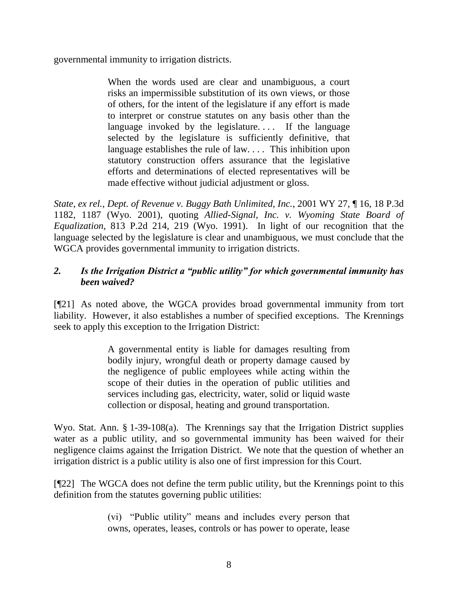governmental immunity to irrigation districts.

When the words used are clear and unambiguous, a court risks an impermissible substitution of its own views, or those of others, for the intent of the legislature if any effort is made to interpret or construe statutes on any basis other than the language invoked by the legislature.... If the language selected by the legislature is sufficiently definitive, that language establishes the rule of law. . . . This inhibition upon statutory construction offers assurance that the legislative efforts and determinations of elected representatives will be made effective without judicial adjustment or gloss.

*State, ex rel., Dept. of Revenue v. Buggy Bath Unlimited, Inc.*, 2001 WY 27, ¶ 16, 18 P.3d 1182, 1187 (Wyo. 2001), quoting *Allied-Signal, Inc. v. Wyoming State Board of Equalization*, 813 P.2d 214, 219 (Wyo. 1991). In light of our recognition that the language selected by the legislature is clear and unambiguous, we must conclude that the WGCA provides governmental immunity to irrigation districts.

## *2. Is the Irrigation District a "public utility" for which governmental immunity has been waived?*

[¶21] As noted above, the WGCA provides broad governmental immunity from tort liability. However, it also establishes a number of specified exceptions. The Krennings seek to apply this exception to the Irrigation District:

> A governmental entity is liable for damages resulting from bodily injury, wrongful death or property damage caused by the negligence of public employees while acting within the scope of their duties in the operation of public utilities and services including gas, electricity, water, solid or liquid waste collection or disposal, heating and ground transportation.

Wyo. Stat. Ann. § 1-39-108(a). The Krennings say that the Irrigation District supplies water as a public utility, and so governmental immunity has been waived for their negligence claims against the Irrigation District. We note that the question of whether an irrigation district is a public utility is also one of first impression for this Court.

[¶22] The WGCA does not define the term public utility, but the Krennings point to this definition from the statutes governing public utilities:

> (vi) "Public utility" means and includes every person that owns, operates, leases, controls or has power to operate, lease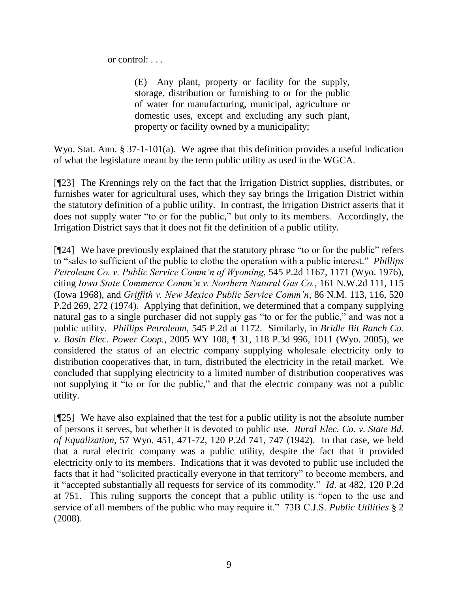or control: . . .

(E) Any plant, property or facility for the supply, storage, distribution or furnishing to or for the public of water for manufacturing, municipal, agriculture or domestic uses, except and excluding any such plant, property or facility owned by a municipality;

Wyo. Stat. Ann. § 37-1-101(a). We agree that this definition provides a useful indication of what the legislature meant by the term public utility as used in the WGCA.

[¶23] The Krennings rely on the fact that the Irrigation District supplies, distributes, or furnishes water for agricultural uses, which they say brings the Irrigation District within the statutory definition of a public utility. In contrast, the Irrigation District asserts that it does not supply water "to or for the public," but only to its members. Accordingly, the Irrigation District says that it does not fit the definition of a public utility.

[¶24] We have previously explained that the statutory phrase "to or for the public" refers to "sales to sufficient of the public to clothe the operation with a public interest." *Phillips Petroleum Co. v. Public Service Comm'n of Wyoming*, 545 P.2d 1167, 1171 (Wyo. 1976), citing *Iowa State Commerce Comm'n v. Northern Natural Gas Co.*, 161 N.W.2d 111, 115 (Iowa 1968), and *Griffith v. New Mexico Public Service Comm'n*, 86 N.M. 113, 116, 520 P.2d 269, 272 (1974). Applying that definition, we determined that a company supplying natural gas to a single purchaser did not supply gas "to or for the public," and was not a public utility. *Phillips Petroleum*, 545 P.2d at 1172. Similarly, in *Bridle Bit Ranch Co. v. Basin Elec. Power Coop.*, 2005 WY 108, ¶ 31, 118 P.3d 996, 1011 (Wyo. 2005), we considered the status of an electric company supplying wholesale electricity only to distribution cooperatives that, in turn, distributed the electricity in the retail market. We concluded that supplying electricity to a limited number of distribution cooperatives was not supplying it "to or for the public," and that the electric company was not a public utility.

[¶25] We have also explained that the test for a public utility is not the absolute number of persons it serves, but whether it is devoted to public use. *Rural Elec. Co. v. State Bd. of Equalization*, 57 Wyo. 451, 471-72, 120 P.2d 741, 747 (1942). In that case, we held that a rural electric company was a public utility, despite the fact that it provided electricity only to its members. Indications that it was devoted to public use included the facts that it had "solicited practically everyone in that territory" to become members, and it "accepted substantially all requests for service of its commodity." *Id*. at 482, 120 P.2d at 751. This ruling supports the concept that a public utility is "open to the use and service of all members of the public who may require it." 73B C.J.S. *Public Utilities* § 2 (2008).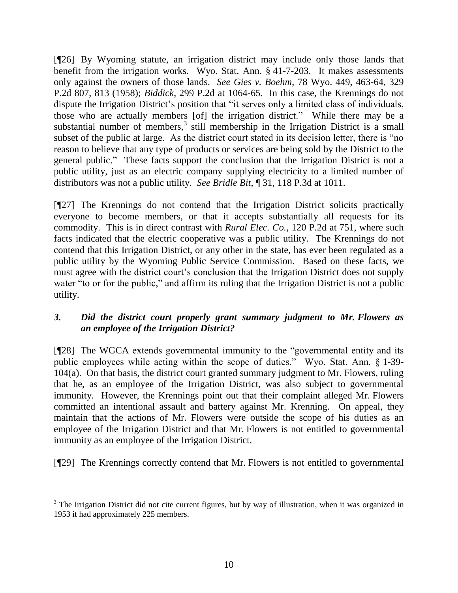[¶26] By Wyoming statute, an irrigation district may include only those lands that benefit from the irrigation works. Wyo. Stat. Ann. § 41-7-203. It makes assessments only against the owners of those lands. *See Gies v. Boehm*, 78 Wyo. 449, 463-64, 329 P.2d 807, 813 (1958); *Biddick*, 299 P.2d at 1064-65. In this case, the Krennings do not dispute the Irrigation District's position that "it serves only a limited class of individuals, those who are actually members [of] the irrigation district." While there may be a substantial number of members, $3$  still membership in the Irrigation District is a small subset of the public at large. As the district court stated in its decision letter, there is "no reason to believe that any type of products or services are being sold by the District to the general public." These facts support the conclusion that the Irrigation District is not a public utility, just as an electric company supplying electricity to a limited number of distributors was not a public utility. *See Bridle Bit*, ¶ 31, 118 P.3d at 1011.

[¶27] The Krennings do not contend that the Irrigation District solicits practically everyone to become members, or that it accepts substantially all requests for its commodity. This is in direct contrast with *Rural Elec. Co.*, 120 P.2d at 751, where such facts indicated that the electric cooperative was a public utility. The Krennings do not contend that this Irrigation District, or any other in the state, has ever been regulated as a public utility by the Wyoming Public Service Commission. Based on these facts, we must agree with the district court's conclusion that the Irrigation District does not supply water "to or for the public," and affirm its ruling that the Irrigation District is not a public utility.

## *3. Did the district court properly grant summary judgment to Mr. Flowers as an employee of the Irrigation District?*

[¶28] The WGCA extends governmental immunity to the "governmental entity and its public employees while acting within the scope of duties." Wyo. Stat. Ann. § 1-39- 104(a). On that basis, the district court granted summary judgment to Mr. Flowers, ruling that he, as an employee of the Irrigation District, was also subject to governmental immunity. However, the Krennings point out that their complaint alleged Mr. Flowers committed an intentional assault and battery against Mr. Krenning. On appeal, they maintain that the actions of Mr. Flowers were outside the scope of his duties as an employee of the Irrigation District and that Mr. Flowers is not entitled to governmental immunity as an employee of the Irrigation District.

[¶29] The Krennings correctly contend that Mr. Flowers is not entitled to governmental

<sup>&</sup>lt;sup>3</sup> The Irrigation District did not cite current figures, but by way of illustration, when it was organized in 1953 it had approximately 225 members.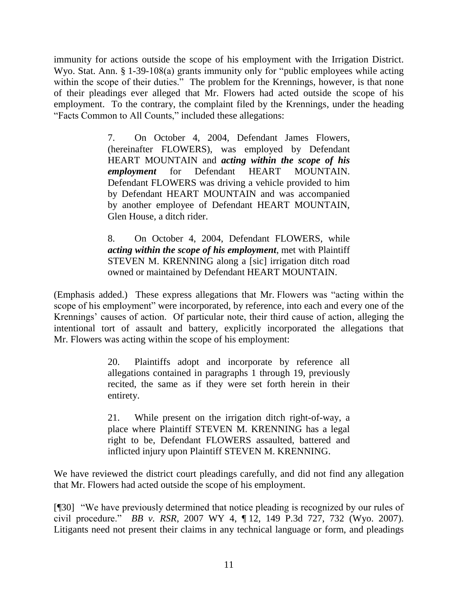immunity for actions outside the scope of his employment with the Irrigation District. Wyo. Stat. Ann. § 1-39-108(a) grants immunity only for "public employees while acting within the scope of their duties." The problem for the Krennings, however, is that none of their pleadings ever alleged that Mr. Flowers had acted outside the scope of his employment. To the contrary, the complaint filed by the Krennings, under the heading "Facts Common to All Counts," included these allegations:

> 7. On October 4, 2004, Defendant James Flowers, (hereinafter FLOWERS), was employed by Defendant HEART MOUNTAIN and *acting within the scope of his employment* for Defendant HEART MOUNTAIN. Defendant FLOWERS was driving a vehicle provided to him by Defendant HEART MOUNTAIN and was accompanied by another employee of Defendant HEART MOUNTAIN, Glen House, a ditch rider.

> 8. On October 4, 2004, Defendant FLOWERS, while *acting within the scope of his employment*, met with Plaintiff STEVEN M. KRENNING along a [sic] irrigation ditch road owned or maintained by Defendant HEART MOUNTAIN.

(Emphasis added.) These express allegations that Mr. Flowers was "acting within the scope of his employment" were incorporated, by reference, into each and every one of the Krennings' causes of action. Of particular note, their third cause of action, alleging the intentional tort of assault and battery, explicitly incorporated the allegations that Mr. Flowers was acting within the scope of his employment:

> 20. Plaintiffs adopt and incorporate by reference all allegations contained in paragraphs 1 through 19, previously recited, the same as if they were set forth herein in their entirety.

> 21. While present on the irrigation ditch right-of-way, a place where Plaintiff STEVEN M. KRENNING has a legal right to be, Defendant FLOWERS assaulted, battered and inflicted injury upon Plaintiff STEVEN M. KRENNING.

We have reviewed the district court pleadings carefully, and did not find any allegation that Mr. Flowers had acted outside the scope of his employment.

[¶30] "We have previously determined that notice pleading is recognized by our rules of civil procedure." *BB v. RSR*, 2007 WY 4, ¶ 12, 149 P.3d 727, 732 (Wyo. 2007). Litigants need not present their claims in any technical language or form, and pleadings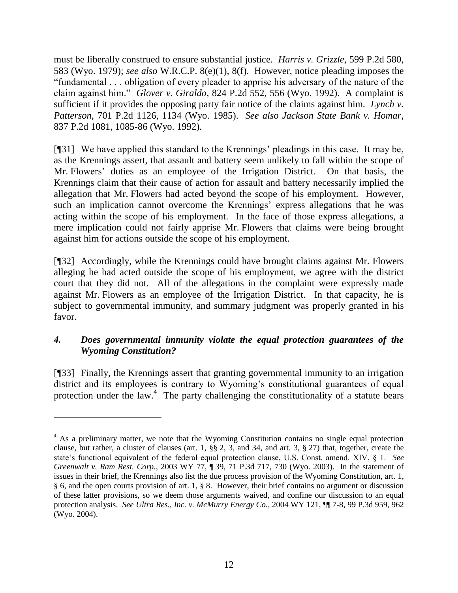must be liberally construed to ensure substantial justice. *Harris v. Grizzle*, 599 P.2d 580, 583 (Wyo. 1979); *see also* W.R.C.P. 8(e)(1), 8(f). However, notice pleading imposes the "fundamental . . . obligation of every pleader to apprise his adversary of the nature of the claim against him." *Glover v. Giraldo*, 824 P.2d 552, 556 (Wyo. 1992). A complaint is sufficient if it provides the opposing party fair notice of the claims against him. *Lynch v. Patterson*, 701 P.2d 1126, 1134 (Wyo. 1985). *See also Jackson State Bank v. Homar*, 837 P.2d 1081, 1085-86 (Wyo. 1992).

[¶31] We have applied this standard to the Krennings" pleadings in this case. It may be, as the Krennings assert, that assault and battery seem unlikely to fall within the scope of Mr. Flowers" duties as an employee of the Irrigation District. On that basis, the Krennings claim that their cause of action for assault and battery necessarily implied the allegation that Mr. Flowers had acted beyond the scope of his employment. However, such an implication cannot overcome the Krennings' express allegations that he was acting within the scope of his employment. In the face of those express allegations, a mere implication could not fairly apprise Mr. Flowers that claims were being brought against him for actions outside the scope of his employment.

[¶32] Accordingly, while the Krennings could have brought claims against Mr. Flowers alleging he had acted outside the scope of his employment, we agree with the district court that they did not. All of the allegations in the complaint were expressly made against Mr. Flowers as an employee of the Irrigation District. In that capacity, he is subject to governmental immunity, and summary judgment was properly granted in his favor.

## *4. Does governmental immunity violate the equal protection guarantees of the Wyoming Constitution?*

[¶33] Finally, the Krennings assert that granting governmental immunity to an irrigation district and its employees is contrary to Wyoming's constitutional guarantees of equal protection under the law.<sup>4</sup> The party challenging the constitutionality of a statute bears

<sup>&</sup>lt;sup>4</sup> As a preliminary matter, we note that the Wyoming Constitution contains no single equal protection clause, but rather, a cluster of clauses (art. 1, §§ 2, 3, and 34, and art. 3, § 27) that, together, create the state"s functional equivalent of the federal equal protection clause, U.S. Const. amend. XIV, § 1. *See Greenwalt v. Ram Rest. Corp.*, 2003 WY 77, ¶ 39, 71 P.3d 717, 730 (Wyo. 2003). In the statement of issues in their brief, the Krennings also list the due process provision of the Wyoming Constitution, art. 1, § 6, and the open courts provision of art. 1, § 8. However, their brief contains no argument or discussion of these latter provisions, so we deem those arguments waived, and confine our discussion to an equal protection analysis. *See Ultra Res., Inc. v. McMurry Energy Co.*, 2004 WY 121, ¶¶ 7-8, 99 P.3d 959, 962 (Wyo. 2004).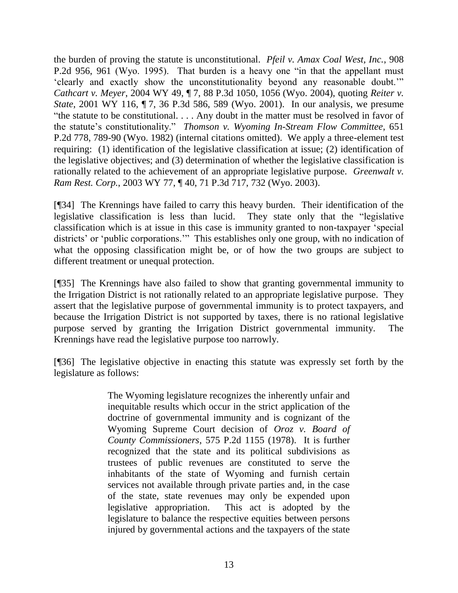the burden of proving the statute is unconstitutional. *Pfeil v. Amax Coal West, Inc.*, 908 P.2d 956, 961 (Wyo. 1995). That burden is a heavy one "in that the appellant must "clearly and exactly show the unconstitutionality beyond any reasonable doubt."" *Cathcart v. Meyer*, 2004 WY 49, ¶ 7, 88 P.3d 1050, 1056 (Wyo. 2004), quoting *Reiter v. State*, 2001 WY 116, ¶ 7, 36 P.3d 586, 589 (Wyo. 2001). In our analysis, we presume "the statute to be constitutional. . . . Any doubt in the matter must be resolved in favor of the statute"s constitutionality." *Thomson v. Wyoming In-Stream Flow Committee*, 651 P.2d 778, 789-90 (Wyo. 1982) (internal citations omitted). We apply a three-element test requiring: (1) identification of the legislative classification at issue; (2) identification of the legislative objectives; and (3) determination of whether the legislative classification is rationally related to the achievement of an appropriate legislative purpose. *Greenwalt v. Ram Rest. Corp.*, 2003 WY 77, ¶ 40, 71 P.3d 717, 732 (Wyo. 2003).

[¶34] The Krennings have failed to carry this heavy burden. Their identification of the legislative classification is less than lucid. They state only that the "legislative classification which is at issue in this case is immunity granted to non-taxpayer "special districts' or 'public corporations."" This establishes only one group, with no indication of what the opposing classification might be, or of how the two groups are subject to different treatment or unequal protection.

[¶35] The Krennings have also failed to show that granting governmental immunity to the Irrigation District is not rationally related to an appropriate legislative purpose. They assert that the legislative purpose of governmental immunity is to protect taxpayers, and because the Irrigation District is not supported by taxes, there is no rational legislative purpose served by granting the Irrigation District governmental immunity. The Krennings have read the legislative purpose too narrowly.

[¶36] The legislative objective in enacting this statute was expressly set forth by the legislature as follows:

> The Wyoming legislature recognizes the inherently unfair and inequitable results which occur in the strict application of the doctrine of governmental immunity and is cognizant of the Wyoming Supreme Court decision of *Oroz v. Board of County Commissioners*, 575 P.2d 1155 (1978). It is further recognized that the state and its political subdivisions as trustees of public revenues are constituted to serve the inhabitants of the state of Wyoming and furnish certain services not available through private parties and, in the case of the state, state revenues may only be expended upon legislative appropriation. This act is adopted by the legislature to balance the respective equities between persons injured by governmental actions and the taxpayers of the state